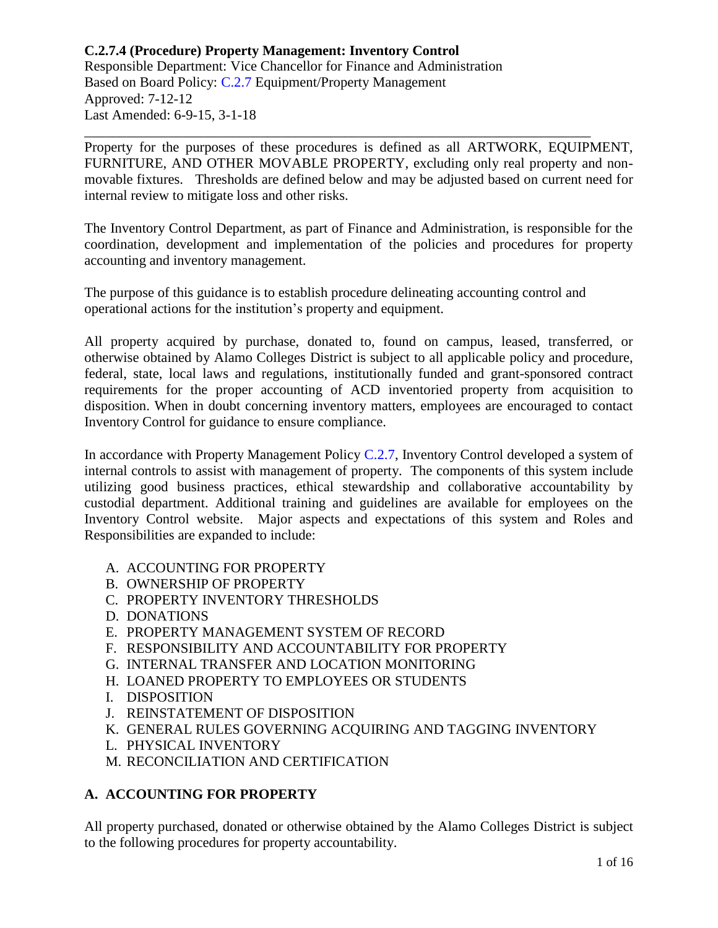Property for the purposes of these procedures is defined as all ARTWORK, EQUIPMENT, FURNITURE, AND OTHER MOVABLE PROPERTY, excluding only real property and nonmovable fixtures. Thresholds are defined below and may be adjusted based on current need for internal review to mitigate loss and other risks.

\_\_\_\_\_\_\_\_\_\_\_\_\_\_\_\_\_\_\_\_\_\_\_\_\_\_\_\_\_\_\_\_\_\_\_\_\_\_\_\_\_\_\_\_\_\_\_\_\_\_\_\_\_\_\_\_\_\_\_\_\_\_\_\_\_\_\_\_\_\_\_\_

The Inventory Control Department, as part of Finance and Administration, is responsible for the coordination, development and implementation of the policies and procedures for property accounting and inventory management.

The purpose of this guidance is to establish procedure delineating accounting control and operational actions for the institution's property and equipment.

All property acquired by purchase, donated to, found on campus, leased, transferred, or otherwise obtained by Alamo Colleges District is subject to all applicable policy and procedure, federal, state, local laws and regulations, institutionally funded and grant-sponsored contract requirements for the proper accounting of ACD inventoried property from acquisition to disposition. When in doubt concerning inventory matters, employees are encouraged to contact Inventory Control for guidance to ensure compliance.

In accordance with Property Management Policy [C.2.7,](https://www.alamo.edu/siteassets/district/about-us/leadership/board-of-trustees/policies-pdfs/section-c/c.2.7-policy.pdf) Inventory Control developed a system of internal controls to assist with management of property. The components of this system include utilizing good business practices, ethical stewardship and collaborative accountability by custodial department. Additional training and guidelines are available for employees on the Inventory Control website. Major aspects and expectations of this system and Roles and Responsibilities are expanded to include:

- A. ACCOUNTING FOR PROPERTY
- B. OWNERSHIP OF PROPERTY
- C. PROPERTY INVENTORY THRESHOLDS
- D. DONATIONS
- E. PROPERTY MANAGEMENT SYSTEM OF RECORD
- F. RESPONSIBILITY AND ACCOUNTABILITY FOR PROPERTY
- G. INTERNAL TRANSFER AND LOCATION MONITORING
- H. LOANED PROPERTY TO EMPLOYEES OR STUDENTS
- I. DISPOSITION
- J. REINSTATEMENT OF DISPOSITION
- K. GENERAL RULES GOVERNING ACQUIRING AND TAGGING INVENTORY
- L. PHYSICAL INVENTORY
- M. RECONCILIATION AND CERTIFICATION

# **A. ACCOUNTING FOR PROPERTY**

All property purchased, donated or otherwise obtained by the Alamo Colleges District is subject to the following procedures for property accountability.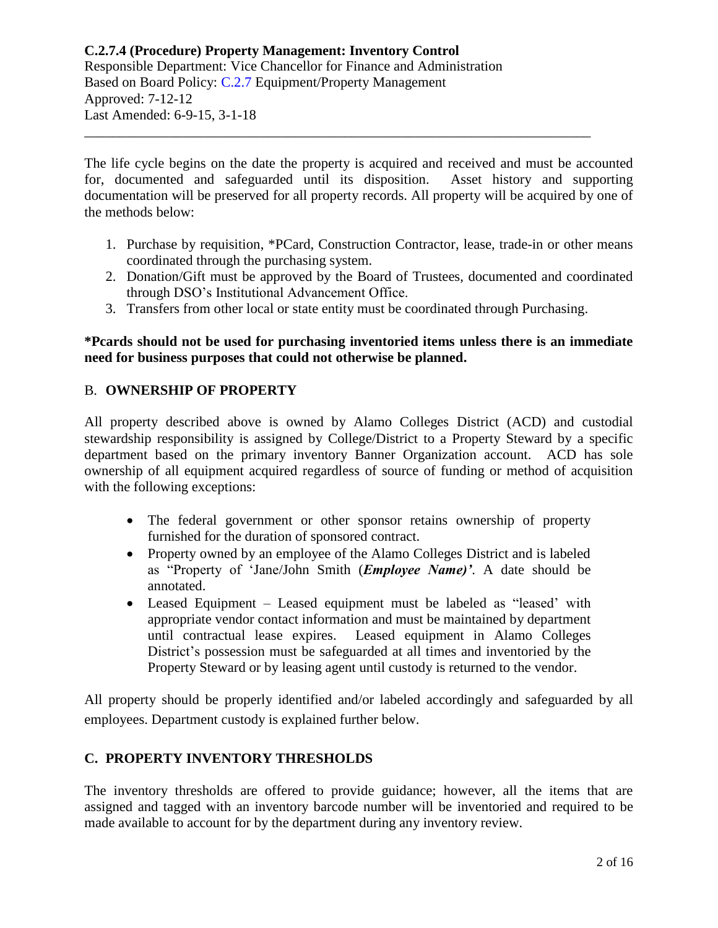The life cycle begins on the date the property is acquired and received and must be accounted for, documented and safeguarded until its disposition. Asset history and supporting documentation will be preserved for all property records. All property will be acquired by one of the methods below:

\_\_\_\_\_\_\_\_\_\_\_\_\_\_\_\_\_\_\_\_\_\_\_\_\_\_\_\_\_\_\_\_\_\_\_\_\_\_\_\_\_\_\_\_\_\_\_\_\_\_\_\_\_\_\_\_\_\_\_\_\_\_\_\_\_\_\_\_\_\_\_\_

- 1. Purchase by requisition, \*PCard, Construction Contractor, lease, trade-in or other means coordinated through the purchasing system.
- 2. Donation/Gift must be approved by the Board of Trustees, documented and coordinated through DSO's Institutional Advancement Office.
- 3. Transfers from other local or state entity must be coordinated through Purchasing.

## **\*Pcards should not be used for purchasing inventoried items unless there is an immediate need for business purposes that could not otherwise be planned.**

# B. **OWNERSHIP OF PROPERTY**

All property described above is owned by Alamo Colleges District (ACD) and custodial stewardship responsibility is assigned by College/District to a Property Steward by a specific department based on the primary inventory Banner Organization account. ACD has sole ownership of all equipment acquired regardless of source of funding or method of acquisition with the following exceptions:

- The federal government or other sponsor retains ownership of property furnished for the duration of sponsored contract.
- Property owned by an employee of the Alamo Colleges District and is labeled as "Property of 'Jane/John Smith (*Employee Name)'*. A date should be annotated.
- Leased Equipment Leased equipment must be labeled as "leased' with appropriate vendor contact information and must be maintained by department until contractual lease expires. Leased equipment in Alamo Colleges District's possession must be safeguarded at all times and inventoried by the Property Steward or by leasing agent until custody is returned to the vendor.

All property should be properly identified and/or labeled accordingly and safeguarded by all employees. Department custody is explained further below.

# **C. PROPERTY INVENTORY THRESHOLDS**

The inventory thresholds are offered to provide guidance; however, all the items that are assigned and tagged with an inventory barcode number will be inventoried and required to be made available to account for by the department during any inventory review.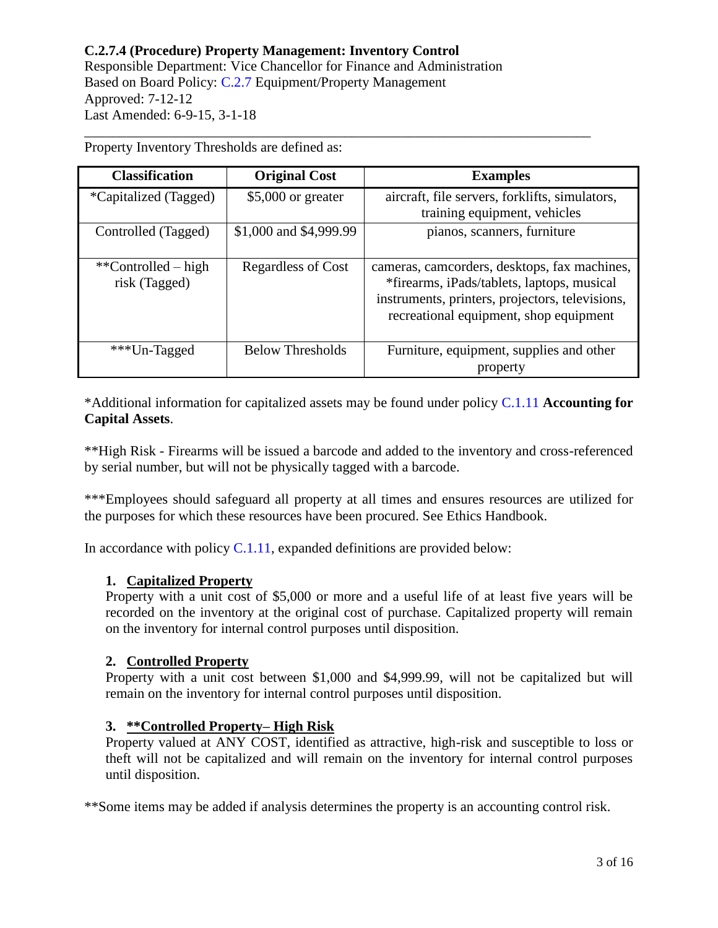| <b>Classification</b>                | <b>Original Cost</b>    | <b>Examples</b>                                                                                                                                                                         |
|--------------------------------------|-------------------------|-----------------------------------------------------------------------------------------------------------------------------------------------------------------------------------------|
| <i>*</i> Capitalized (Tagged)        | $$5,000$ or greater     | aircraft, file servers, forklifts, simulators,<br>training equipment, vehicles                                                                                                          |
| Controlled (Tagged)                  | \$1,000 and \$4,999.99  | pianos, scanners, furniture                                                                                                                                                             |
| **Controlled – high<br>risk (Tagged) | Regardless of Cost      | cameras, camcorders, desktops, fax machines,<br>*firearms, iPads/tablets, laptops, musical<br>instruments, printers, projectors, televisions,<br>recreational equipment, shop equipment |
| ***Un-Tagged                         | <b>Below Thresholds</b> | Furniture, equipment, supplies and other<br>property                                                                                                                                    |

\_\_\_\_\_\_\_\_\_\_\_\_\_\_\_\_\_\_\_\_\_\_\_\_\_\_\_\_\_\_\_\_\_\_\_\_\_\_\_\_\_\_\_\_\_\_\_\_\_\_\_\_\_\_\_\_\_\_\_\_\_\_\_\_\_\_\_\_\_\_\_\_

Property Inventory Thresholds are defined as:

\*Additional information for capitalized assets may be found under policy [C.1.11](https://www.alamo.edu/siteassets/district/about-us/leadership/board-of-trustees/policies-pdfs/section-c/c.1.11-policy.pdf) **Accounting for Capital Assets**.

\*\*High Risk - Firearms will be issued a barcode and added to the inventory and cross-referenced by serial number, but will not be physically tagged with a barcode.

\*\*\*Employees should safeguard all property at all times and ensures resources are utilized for the purposes for which these resources have been procured. See Ethics Handbook.

In accordance with policy  $C.1.11$ , expanded definitions are provided below:

## **1. Capitalized Property**

Property with a unit cost of \$5,000 or more and a useful life of at least five years will be recorded on the inventory at the original cost of purchase. Capitalized property will remain on the inventory for internal control purposes until disposition.

#### **2. Controlled Property**

Property with a unit cost between \$1,000 and \$4,999.99, will not be capitalized but will remain on the inventory for internal control purposes until disposition.

#### **3. \*\*Controlled Property– High Risk**

Property valued at ANY COST, identified as attractive, high-risk and susceptible to loss or theft will not be capitalized and will remain on the inventory for internal control purposes until disposition.

\*\*Some items may be added if analysis determines the property is an accounting control risk.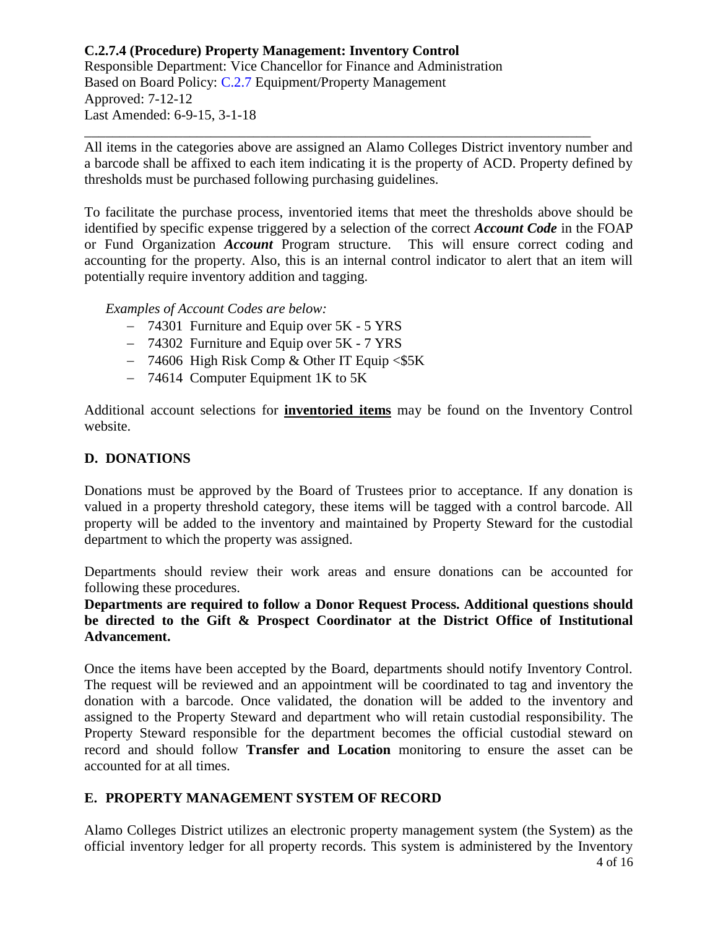All items in the categories above are assigned an Alamo Colleges District inventory number and a barcode shall be affixed to each item indicating it is the property of ACD. Property defined by thresholds must be purchased following purchasing guidelines.

\_\_\_\_\_\_\_\_\_\_\_\_\_\_\_\_\_\_\_\_\_\_\_\_\_\_\_\_\_\_\_\_\_\_\_\_\_\_\_\_\_\_\_\_\_\_\_\_\_\_\_\_\_\_\_\_\_\_\_\_\_\_\_\_\_\_\_\_\_\_\_\_

To facilitate the purchase process, inventoried items that meet the thresholds above should be identified by specific expense triggered by a selection of the correct *Account Code* in the FOAP or Fund Organization *Account* Program structure. This will ensure correct coding and accounting for the property. Also, this is an internal control indicator to alert that an item will potentially require inventory addition and tagging.

*Examples of Account Codes are below:*

- 74301 Furniture and Equip over 5K 5 YRS
- 74302 Furniture and Equip over 5K 7 YRS
- $-$  74606 High Risk Comp & Other IT Equip <\$5K
- 74614 Computer Equipment 1K to 5K

Additional account selections for **inventoried items** may be found on the Inventory Control website.

# **D. DONATIONS**

Donations must be approved by the Board of Trustees prior to acceptance. If any donation is valued in a property threshold category, these items will be tagged with a control barcode. All property will be added to the inventory and maintained by Property Steward for the custodial department to which the property was assigned.

Departments should review their work areas and ensure donations can be accounted for following these procedures.

**Departments are required to follow a Donor Request Process. Additional questions should be directed to the Gift & Prospect Coordinator at the District Office of Institutional Advancement.** 

Once the items have been accepted by the Board, departments should notify Inventory Control. The request will be reviewed and an appointment will be coordinated to tag and inventory the donation with a barcode. Once validated, the donation will be added to the inventory and assigned to the Property Steward and department who will retain custodial responsibility. The Property Steward responsible for the department becomes the official custodial steward on record and should follow **Transfer and Location** monitoring to ensure the asset can be accounted for at all times.

# **E. PROPERTY MANAGEMENT SYSTEM OF RECORD**

4 of 16 Alamo Colleges District utilizes an electronic property management system (the System) as the official inventory ledger for all property records. This system is administered by the Inventory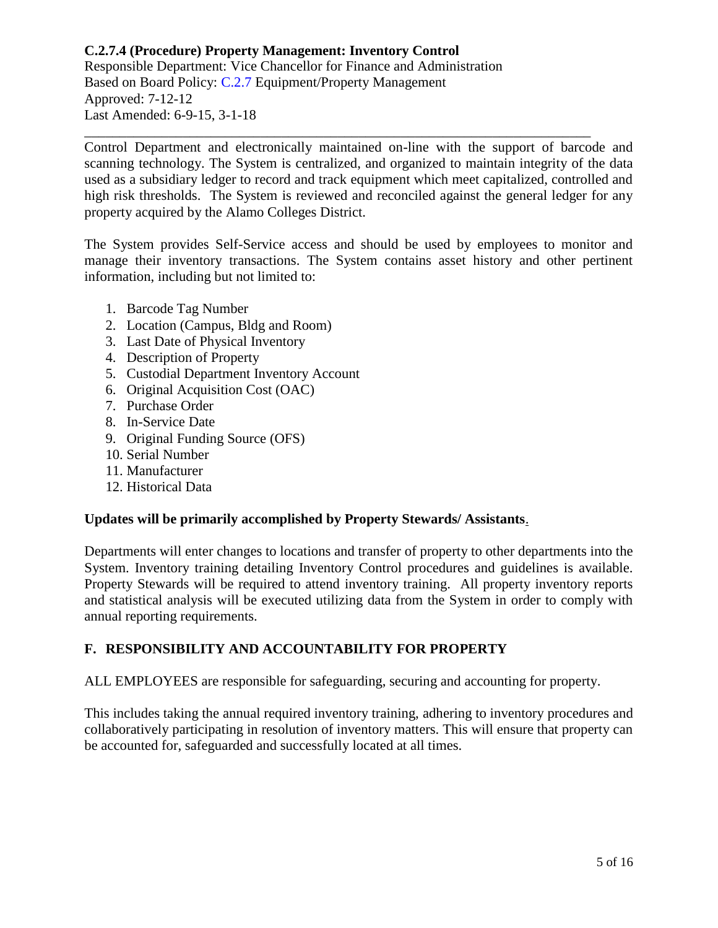Control Department and electronically maintained on-line with the support of barcode and scanning technology. The System is centralized, and organized to maintain integrity of the data used as a subsidiary ledger to record and track equipment which meet capitalized, controlled and high risk thresholds. The System is reviewed and reconciled against the general ledger for any property acquired by the Alamo Colleges District.

\_\_\_\_\_\_\_\_\_\_\_\_\_\_\_\_\_\_\_\_\_\_\_\_\_\_\_\_\_\_\_\_\_\_\_\_\_\_\_\_\_\_\_\_\_\_\_\_\_\_\_\_\_\_\_\_\_\_\_\_\_\_\_\_\_\_\_\_\_\_\_\_

The System provides Self-Service access and should be used by employees to monitor and manage their inventory transactions. The System contains asset history and other pertinent information, including but not limited to:

- 1. Barcode Tag Number
- 2. Location (Campus, Bldg and Room)
- 3. Last Date of Physical Inventory
- 4. Description of Property
- 5. Custodial Department Inventory Account
- 6. Original Acquisition Cost (OAC)
- 7. Purchase Order
- 8. In-Service Date
- 9. Original Funding Source (OFS)
- 10. Serial Number
- 11. Manufacturer
- 12. Historical Data

## **Updates will be primarily accomplished by Property Stewards/ Assistants**.

Departments will enter changes to locations and transfer of property to other departments into the System. Inventory training detailing Inventory Control procedures and guidelines is available. Property Stewards will be required to attend inventory training. All property inventory reports and statistical analysis will be executed utilizing data from the System in order to comply with annual reporting requirements.

## **F. RESPONSIBILITY AND ACCOUNTABILITY FOR PROPERTY**

ALL EMPLOYEES are responsible for safeguarding, securing and accounting for property.

This includes taking the annual required inventory training, adhering to inventory procedures and collaboratively participating in resolution of inventory matters. This will ensure that property can be accounted for, safeguarded and successfully located at all times.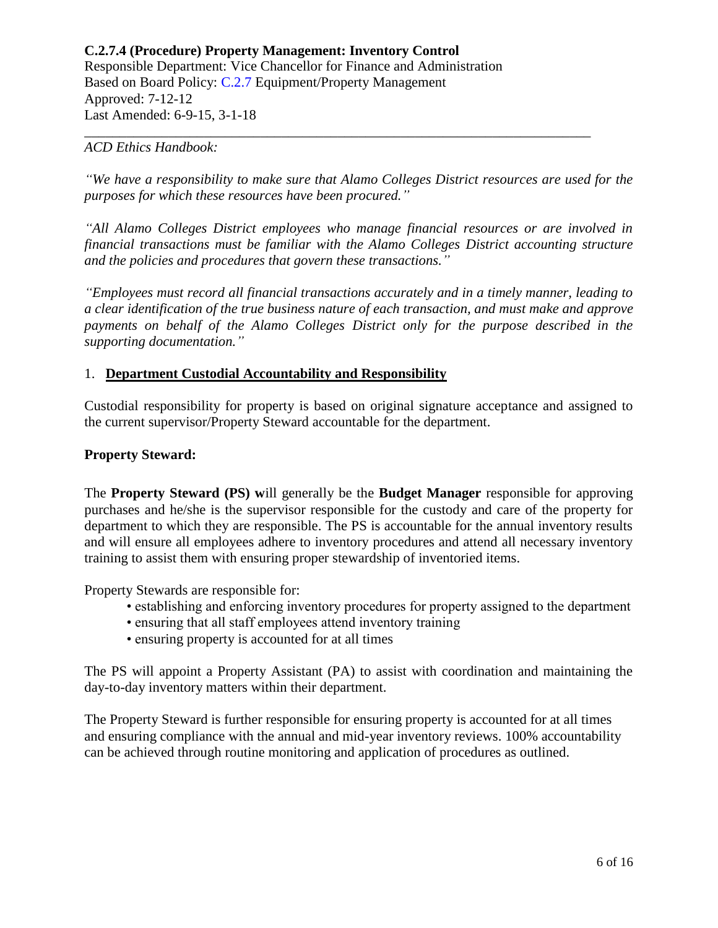#### *ACD Ethics Handbook:*

*"We have a responsibility to make sure that Alamo Colleges District resources are used for the purposes for which these resources have been procured."*

\_\_\_\_\_\_\_\_\_\_\_\_\_\_\_\_\_\_\_\_\_\_\_\_\_\_\_\_\_\_\_\_\_\_\_\_\_\_\_\_\_\_\_\_\_\_\_\_\_\_\_\_\_\_\_\_\_\_\_\_\_\_\_\_\_\_\_\_\_\_\_\_

*"All Alamo Colleges District employees who manage financial resources or are involved in financial transactions must be familiar with the Alamo Colleges District accounting structure and the policies and procedures that govern these transactions."*

*"Employees must record all financial transactions accurately and in a timely manner, leading to a clear identification of the true business nature of each transaction, and must make and approve payments on behalf of the Alamo Colleges District only for the purpose described in the supporting documentation."*

## 1. **Department Custodial Accountability and Responsibility**

Custodial responsibility for property is based on original signature acceptance and assigned to the current supervisor/Property Steward accountable for the department.

## **Property Steward:**

The **Property Steward (PS) w**ill generally be the **Budget Manager** responsible for approving purchases and he/she is the supervisor responsible for the custody and care of the property for department to which they are responsible. The PS is accountable for the annual inventory results and will ensure all employees adhere to inventory procedures and attend all necessary inventory training to assist them with ensuring proper stewardship of inventoried items.

Property Stewards are responsible for:

- establishing and enforcing inventory procedures for property assigned to the department
- ensuring that all staff employees attend inventory training
- ensuring property is accounted for at all times

The PS will appoint a Property Assistant (PA) to assist with coordination and maintaining the day-to-day inventory matters within their department.

The Property Steward is further responsible for ensuring property is accounted for at all times and ensuring compliance with the annual and mid-year inventory reviews. 100% accountability can be achieved through routine monitoring and application of procedures as outlined.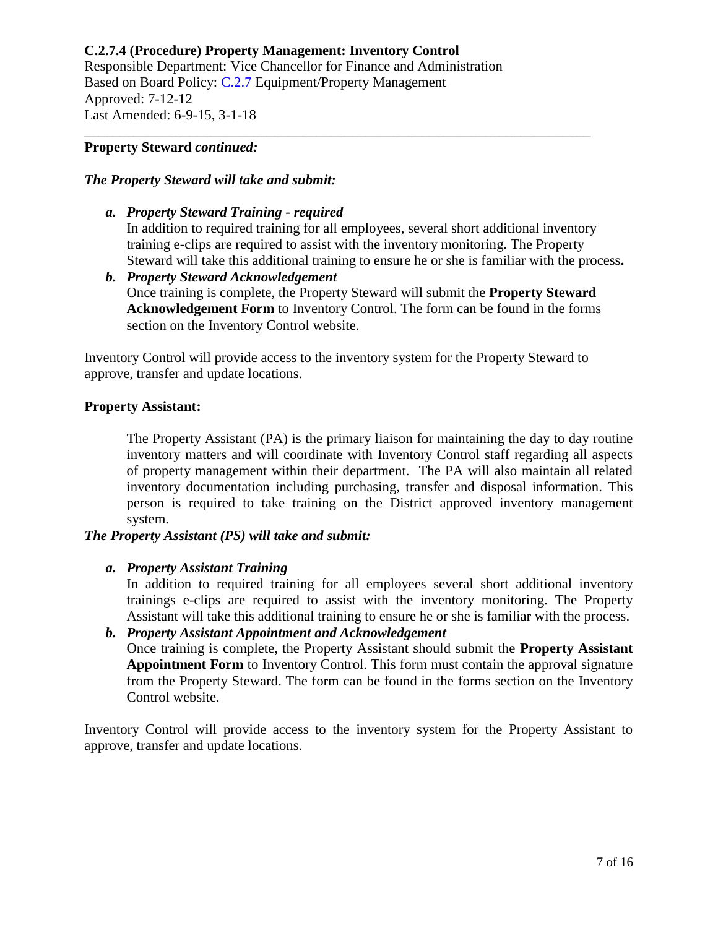# **C.2.7.4 (Procedure) Property Management: Inventory Control**

Responsible Department: Vice Chancellor for Finance and Administration Based on Board Policy: [C.2.7](https://www.alamo.edu/siteassets/district/about-us/leadership/board-of-trustees/policies-pdfs/section-c/c.2.7-policy.pdf) Equipment/Property Management Approved: 7-12-12 Last Amended: 6-9-15, 3-1-18

#### **Property Steward** *continued:*

#### *The Property Steward will take and submit:*

- *a. Property Steward Training - required* In addition to required training for all employees, several short additional inventory training e-clips are required to assist with the inventory monitoring. The Property Steward will take this additional training to ensure he or she is familiar with the process**.**
- *b. Property Steward Acknowledgement* Once training is complete, the Property Steward will submit the **Property Steward Acknowledgement Form** to Inventory Control. The form can be found in the forms section on the Inventory Control website.

Inventory Control will provide access to the inventory system for the Property Steward to approve, transfer and update locations.

\_\_\_\_\_\_\_\_\_\_\_\_\_\_\_\_\_\_\_\_\_\_\_\_\_\_\_\_\_\_\_\_\_\_\_\_\_\_\_\_\_\_\_\_\_\_\_\_\_\_\_\_\_\_\_\_\_\_\_\_\_\_\_\_\_\_\_\_\_\_\_\_

## **Property Assistant:**

The Property Assistant (PA) is the primary liaison for maintaining the day to day routine inventory matters and will coordinate with Inventory Control staff regarding all aspects of property management within their department. The PA will also maintain all related inventory documentation including purchasing, transfer and disposal information. This person is required to take training on the District approved inventory management system.

## *The Property Assistant (PS) will take and submit:*

#### *a. Property Assistant Training*

In addition to required training for all employees several short additional inventory trainings e-clips are required to assist with the inventory monitoring. The Property Assistant will take this additional training to ensure he or she is familiar with the process.

*b. Property Assistant Appointment and Acknowledgement* Once training is complete, the Property Assistant should submit the **Property Assistant Appointment Form** to Inventory Control. This form must contain the approval signature from the Property Steward. The form can be found in the forms section on the Inventory Control website.

Inventory Control will provide access to the inventory system for the Property Assistant to approve, transfer and update locations.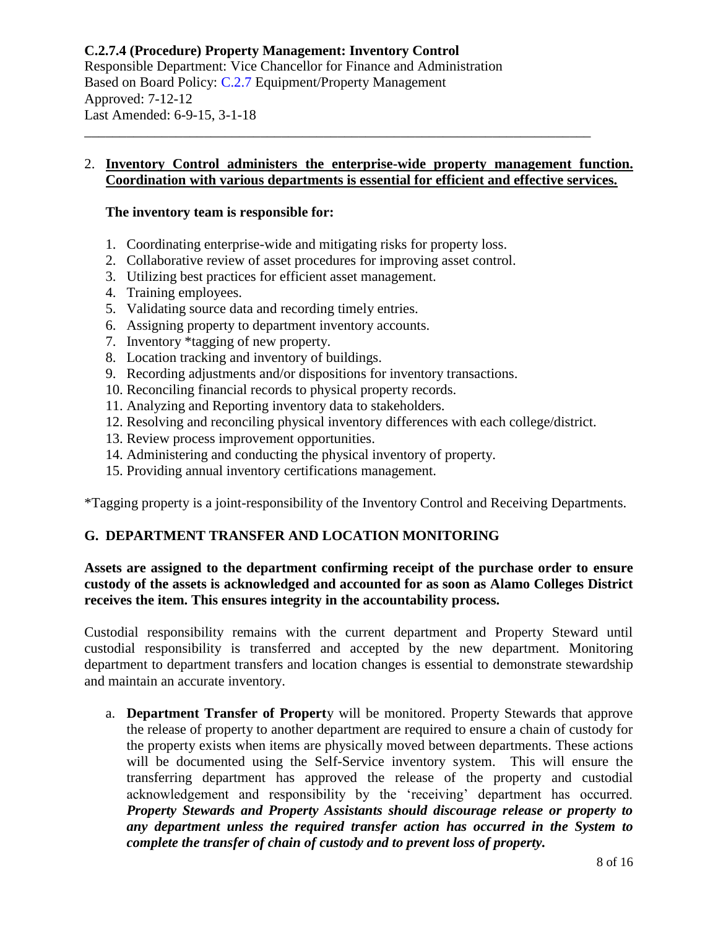## 2. **Inventory Control administers the enterprise-wide property management function. Coordination with various departments is essential for efficient and effective services.**

\_\_\_\_\_\_\_\_\_\_\_\_\_\_\_\_\_\_\_\_\_\_\_\_\_\_\_\_\_\_\_\_\_\_\_\_\_\_\_\_\_\_\_\_\_\_\_\_\_\_\_\_\_\_\_\_\_\_\_\_\_\_\_\_\_\_\_\_\_\_\_\_

## **The inventory team is responsible for:**

- 1. Coordinating enterprise-wide and mitigating risks for property loss.
- 2. Collaborative review of asset procedures for improving asset control.
- 3. Utilizing best practices for efficient asset management.
- 4. Training employees.
- 5. Validating source data and recording timely entries.
- 6. Assigning property to department inventory accounts.
- 7. Inventory \*tagging of new property.
- 8. Location tracking and inventory of buildings.
- 9. Recording adjustments and/or dispositions for inventory transactions.
- 10. Reconciling financial records to physical property records.
- 11. Analyzing and Reporting inventory data to stakeholders.
- 12. Resolving and reconciling physical inventory differences with each college/district.
- 13. Review process improvement opportunities.
- 14. Administering and conducting the physical inventory of property.
- 15. Providing annual inventory certifications management.

\*Tagging property is a joint-responsibility of the Inventory Control and Receiving Departments.

# **G. DEPARTMENT TRANSFER AND LOCATION MONITORING**

## **Assets are assigned to the department confirming receipt of the purchase order to ensure custody of the assets is acknowledged and accounted for as soon as Alamo Colleges District receives the item. This ensures integrity in the accountability process.**

Custodial responsibility remains with the current department and Property Steward until custodial responsibility is transferred and accepted by the new department. Monitoring department to department transfers and location changes is essential to demonstrate stewardship and maintain an accurate inventory.

a. **Department Transfer of Propert**y will be monitored. Property Stewards that approve the release of property to another department are required to ensure a chain of custody for the property exists when items are physically moved between departments. These actions will be documented using the Self-Service inventory system. This will ensure the transferring department has approved the release of the property and custodial acknowledgement and responsibility by the 'receiving' department has occurred. *Property Stewards and Property Assistants should discourage release or property to any department unless the required transfer action has occurred in the System to complete the transfer of chain of custody and to prevent loss of property.*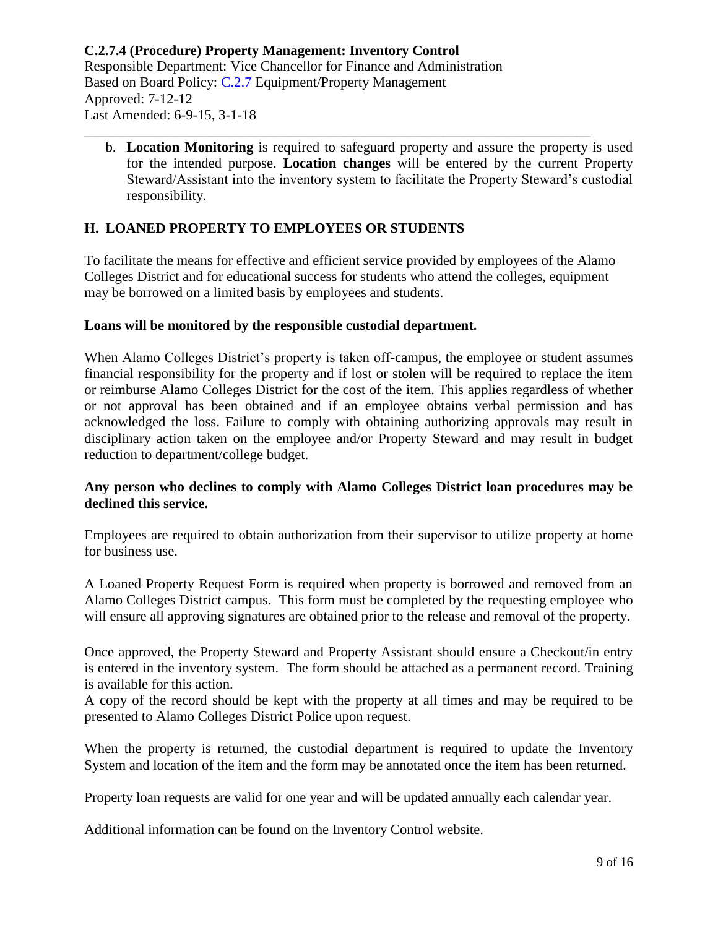b. **Location Monitoring** is required to safeguard property and assure the property is used for the intended purpose. **Location changes** will be entered by the current Property Steward/Assistant into the inventory system to facilitate the Property Steward's custodial responsibility.

\_\_\_\_\_\_\_\_\_\_\_\_\_\_\_\_\_\_\_\_\_\_\_\_\_\_\_\_\_\_\_\_\_\_\_\_\_\_\_\_\_\_\_\_\_\_\_\_\_\_\_\_\_\_\_\_\_\_\_\_\_\_\_\_\_\_\_\_\_\_\_\_

# **H. LOANED PROPERTY TO EMPLOYEES OR STUDENTS**

To facilitate the means for effective and efficient service provided by employees of the Alamo Colleges District and for educational success for students who attend the colleges, equipment may be borrowed on a limited basis by employees and students.

## **Loans will be monitored by the responsible custodial department.**

When Alamo Colleges District's property is taken off-campus, the employee or student assumes financial responsibility for the property and if lost or stolen will be required to replace the item or reimburse Alamo Colleges District for the cost of the item. This applies regardless of whether or not approval has been obtained and if an employee obtains verbal permission and has acknowledged the loss. Failure to comply with obtaining authorizing approvals may result in disciplinary action taken on the employee and/or Property Steward and may result in budget reduction to department/college budget.

## **Any person who declines to comply with Alamo Colleges District loan procedures may be declined this service.**

Employees are required to obtain authorization from their supervisor to utilize property at home for business use.

A Loaned Property Request Form is required when property is borrowed and removed from an Alamo Colleges District campus. This form must be completed by the requesting employee who will ensure all approving signatures are obtained prior to the release and removal of the property.

Once approved, the Property Steward and Property Assistant should ensure a Checkout/in entry is entered in the inventory system. The form should be attached as a permanent record. Training is available for this action.

A copy of the record should be kept with the property at all times and may be required to be presented to Alamo Colleges District Police upon request.

When the property is returned, the custodial department is required to update the Inventory System and location of the item and the form may be annotated once the item has been returned.

Property loan requests are valid for one year and will be updated annually each calendar year.

Additional information can be found on the Inventory Control website.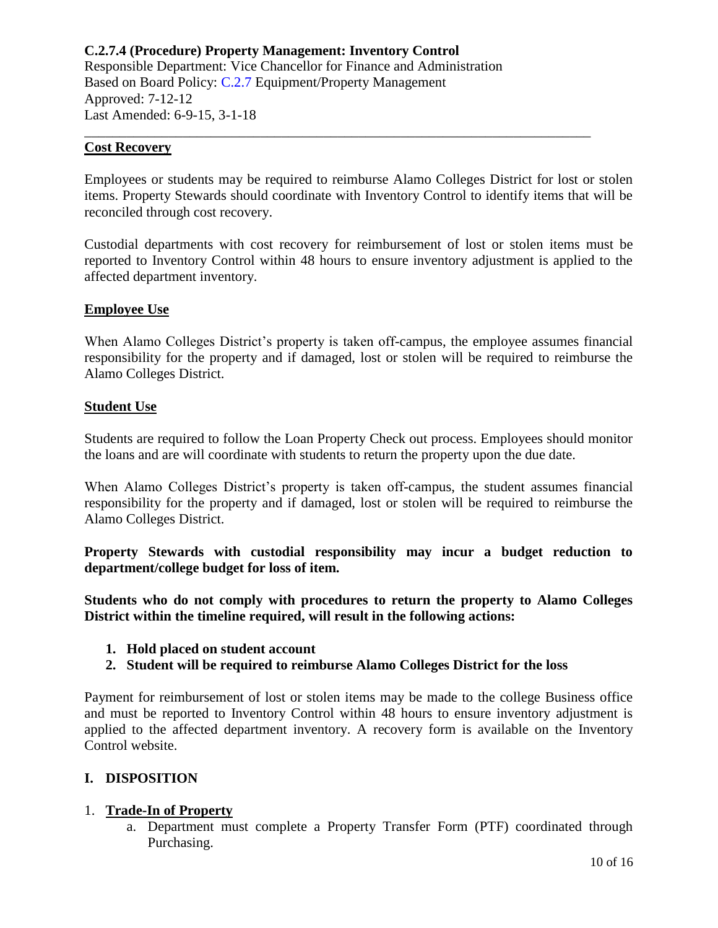#### **Cost Recovery**

Employees or students may be required to reimburse Alamo Colleges District for lost or stolen items. Property Stewards should coordinate with Inventory Control to identify items that will be reconciled through cost recovery.

\_\_\_\_\_\_\_\_\_\_\_\_\_\_\_\_\_\_\_\_\_\_\_\_\_\_\_\_\_\_\_\_\_\_\_\_\_\_\_\_\_\_\_\_\_\_\_\_\_\_\_\_\_\_\_\_\_\_\_\_\_\_\_\_\_\_\_\_\_\_\_\_

Custodial departments with cost recovery for reimbursement of lost or stolen items must be reported to Inventory Control within 48 hours to ensure inventory adjustment is applied to the affected department inventory.

## **Employee Use**

When Alamo Colleges District's property is taken off-campus, the employee assumes financial responsibility for the property and if damaged, lost or stolen will be required to reimburse the Alamo Colleges District.

## **Student Use**

Students are required to follow the Loan Property Check out process. Employees should monitor the loans and are will coordinate with students to return the property upon the due date.

When Alamo Colleges District's property is taken off-campus, the student assumes financial responsibility for the property and if damaged, lost or stolen will be required to reimburse the Alamo Colleges District.

**Property Stewards with custodial responsibility may incur a budget reduction to department/college budget for loss of item.** 

**Students who do not comply with procedures to return the property to Alamo Colleges District within the timeline required, will result in the following actions:**

- **1. Hold placed on student account**
- **2. Student will be required to reimburse Alamo Colleges District for the loss**

Payment for reimbursement of lost or stolen items may be made to the college Business office and must be reported to Inventory Control within 48 hours to ensure inventory adjustment is applied to the affected department inventory. A recovery form is available on the Inventory Control website.

## **I. DISPOSITION**

## 1. **Trade-In of Property**

a. Department must complete a Property Transfer Form (PTF) coordinated through Purchasing.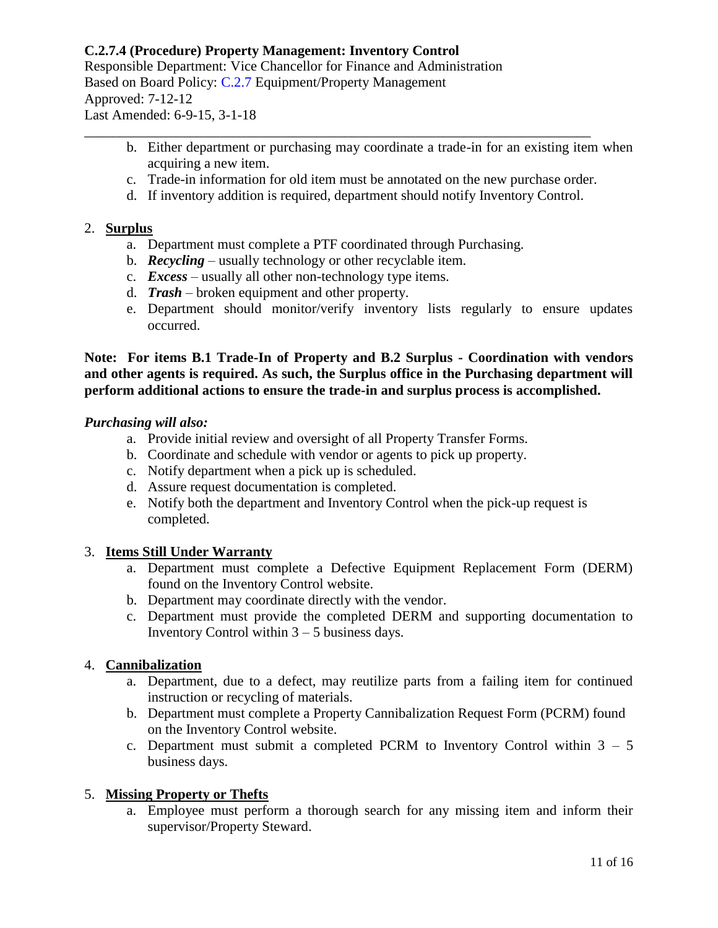# **C.2.7.4 (Procedure) Property Management: Inventory Control**

Responsible Department: Vice Chancellor for Finance and Administration Based on Board Policy: [C.2.7](https://www.alamo.edu/siteassets/district/about-us/leadership/board-of-trustees/policies-pdfs/section-c/c.2.7-policy.pdf) Equipment/Property Management Approved: 7-12-12 Last Amended: 6-9-15, 3-1-18

- b. Either department or purchasing may coordinate a trade-in for an existing item when acquiring a new item.
- c. Trade-in information for old item must be annotated on the new purchase order.
- d. If inventory addition is required, department should notify Inventory Control.

\_\_\_\_\_\_\_\_\_\_\_\_\_\_\_\_\_\_\_\_\_\_\_\_\_\_\_\_\_\_\_\_\_\_\_\_\_\_\_\_\_\_\_\_\_\_\_\_\_\_\_\_\_\_\_\_\_\_\_\_\_\_\_\_\_\_\_\_\_\_\_\_

## 2. **Surplus**

- a. Department must complete a PTF coordinated through Purchasing.
- b. *Recycling* usually technology or other recyclable item.
- c. *Excess*  usually all other non-technology type items.
- d. *Trash* broken equipment and other property.
- e. Department should monitor/verify inventory lists regularly to ensure updates occurred.

## **Note: For items B.1 Trade-In of Property and B.2 Surplus - Coordination with vendors and other agents is required. As such, the Surplus office in the Purchasing department will perform additional actions to ensure the trade-in and surplus process is accomplished.**

## *Purchasing will also:*

- a. Provide initial review and oversight of all Property Transfer Forms.
- b. Coordinate and schedule with vendor or agents to pick up property.
- c. Notify department when a pick up is scheduled.
- d. Assure request documentation is completed.
- e. Notify both the department and Inventory Control when the pick-up request is completed.

## 3. **Items Still Under Warranty**

- a. Department must complete a Defective Equipment Replacement Form (DERM) found on the Inventory Control website.
- b. Department may coordinate directly with the vendor.
- c. Department must provide the completed DERM and supporting documentation to Inventory Control within  $3 - 5$  business days.

## 4. **Cannibalization**

- a. Department, due to a defect, may reutilize parts from a failing item for continued instruction or recycling of materials.
- b. Department must complete a Property Cannibalization Request Form (PCRM) found on the Inventory Control website.
- c. Department must submit a completed PCRM to Inventory Control within  $3 5$ business days.

## 5. **Missing Property or Thefts**

a. Employee must perform a thorough search for any missing item and inform their supervisor/Property Steward.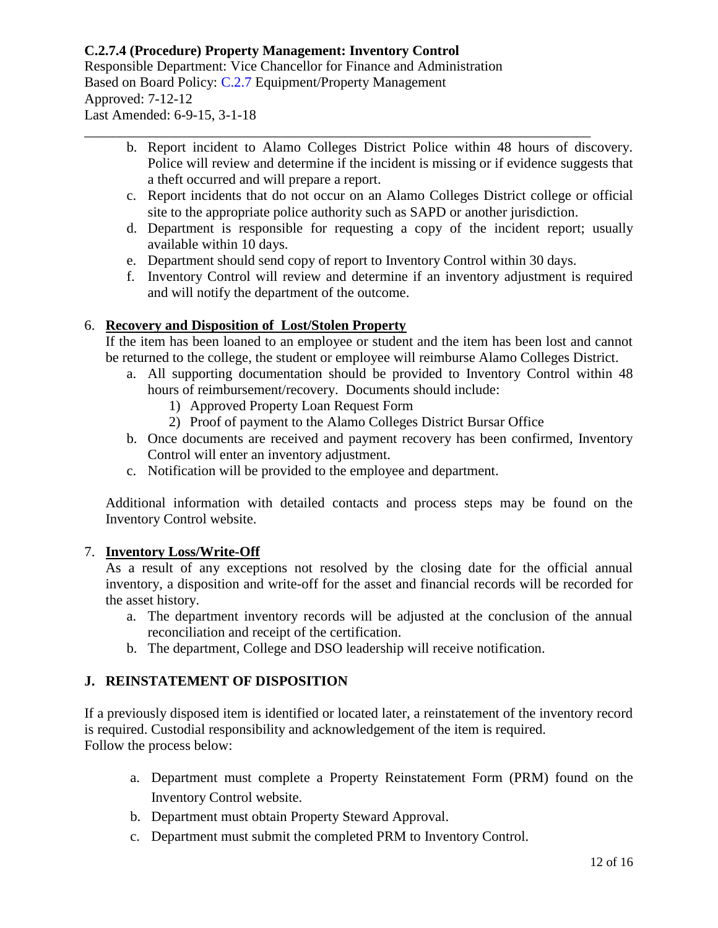# **C.2.7.4 (Procedure) Property Management: Inventory Control**

Responsible Department: Vice Chancellor for Finance and Administration Based on Board Policy: [C.2.7](https://www.alamo.edu/siteassets/district/about-us/leadership/board-of-trustees/policies-pdfs/section-c/c.2.7-policy.pdf) Equipment/Property Management Approved: 7-12-12 Last Amended: 6-9-15, 3-1-18

- b. Report incident to Alamo Colleges District Police within 48 hours of discovery. Police will review and determine if the incident is missing or if evidence suggests that a theft occurred and will prepare a report.
- c. Report incidents that do not occur on an Alamo Colleges District college or official site to the appropriate police authority such as SAPD or another jurisdiction.
- d. Department is responsible for requesting a copy of the incident report; usually available within 10 days.
- e. Department should send copy of report to Inventory Control within 30 days.

\_\_\_\_\_\_\_\_\_\_\_\_\_\_\_\_\_\_\_\_\_\_\_\_\_\_\_\_\_\_\_\_\_\_\_\_\_\_\_\_\_\_\_\_\_\_\_\_\_\_\_\_\_\_\_\_\_\_\_\_\_\_\_\_\_\_\_\_\_\_\_\_

f. Inventory Control will review and determine if an inventory adjustment is required and will notify the department of the outcome.

# 6. **Recovery and Disposition of Lost/Stolen Property**

If the item has been loaned to an employee or student and the item has been lost and cannot be returned to the college, the student or employee will reimburse Alamo Colleges District.

- a. All supporting documentation should be provided to Inventory Control within 48 hours of reimbursement/recovery. Documents should include:
	- 1) Approved Property Loan Request Form
	- 2) Proof of payment to the Alamo Colleges District Bursar Office
- b. Once documents are received and payment recovery has been confirmed, Inventory Control will enter an inventory adjustment.
- c. Notification will be provided to the employee and department.

Additional information with detailed contacts and process steps may be found on the Inventory Control website.

## 7. **Inventory Loss/Write-Off**

As a result of any exceptions not resolved by the closing date for the official annual inventory, a disposition and write-off for the asset and financial records will be recorded for the asset history.

- a. The department inventory records will be adjusted at the conclusion of the annual reconciliation and receipt of the certification.
- b. The department, College and DSO leadership will receive notification.

# **J. REINSTATEMENT OF DISPOSITION**

If a previously disposed item is identified or located later, a reinstatement of the inventory record is required. Custodial responsibility and acknowledgement of the item is required. Follow the process below:

- a. Department must complete a Property Reinstatement Form (PRM) found on the Inventory Control website.
- b. Department must obtain Property Steward Approval.
- c. Department must submit the completed PRM to Inventory Control.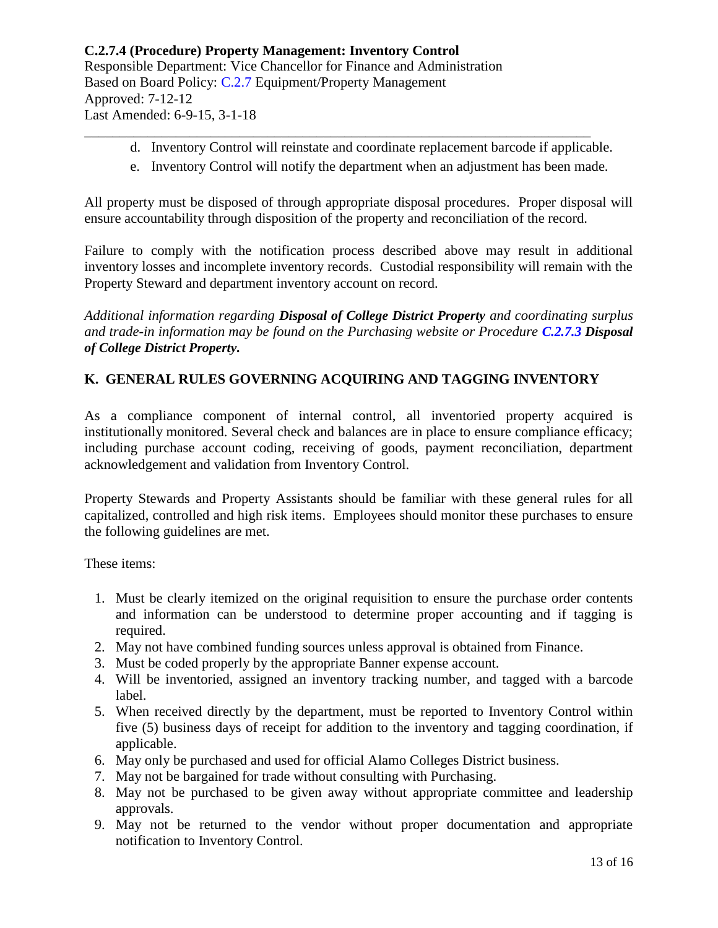d. Inventory Control will reinstate and coordinate replacement barcode if applicable.

\_\_\_\_\_\_\_\_\_\_\_\_\_\_\_\_\_\_\_\_\_\_\_\_\_\_\_\_\_\_\_\_\_\_\_\_\_\_\_\_\_\_\_\_\_\_\_\_\_\_\_\_\_\_\_\_\_\_\_\_\_\_\_\_\_\_\_\_\_\_\_\_

e. Inventory Control will notify the department when an adjustment has been made.

All property must be disposed of through appropriate disposal procedures. Proper disposal will ensure accountability through disposition of the property and reconciliation of the record.

Failure to comply with the notification process described above may result in additional inventory losses and incomplete inventory records. Custodial responsibility will remain with the Property Steward and department inventory account on record.

*Additional information regarding Disposal of College District Property and coordinating surplus and trade-in information may be found on the Purchasing website or Procedure [C.2.7.3](https://www.alamo.edu/siteassets/district/about-us/leadership/board-of-trustees/policies-pdfs/section-c/c.2.7.3-procedure.pdf) Disposal of College District Property.*

# **K. GENERAL RULES GOVERNING ACQUIRING AND TAGGING INVENTORY**

As a compliance component of internal control, all inventoried property acquired is institutionally monitored. Several check and balances are in place to ensure compliance efficacy; including purchase account coding, receiving of goods, payment reconciliation, department acknowledgement and validation from Inventory Control.

Property Stewards and Property Assistants should be familiar with these general rules for all capitalized, controlled and high risk items. Employees should monitor these purchases to ensure the following guidelines are met.

These items:

- 1. Must be clearly itemized on the original requisition to ensure the purchase order contents and information can be understood to determine proper accounting and if tagging is required.
- 2. May not have combined funding sources unless approval is obtained from Finance.
- 3. Must be coded properly by the appropriate Banner expense account.
- 4. Will be inventoried, assigned an inventory tracking number, and tagged with a barcode label.
- 5. When received directly by the department, must be reported to Inventory Control within five (5) business days of receipt for addition to the inventory and tagging coordination, if applicable.
- 6. May only be purchased and used for official Alamo Colleges District business.
- 7. May not be bargained for trade without consulting with Purchasing.
- 8. May not be purchased to be given away without appropriate committee and leadership approvals.
- 9. May not be returned to the vendor without proper documentation and appropriate notification to Inventory Control.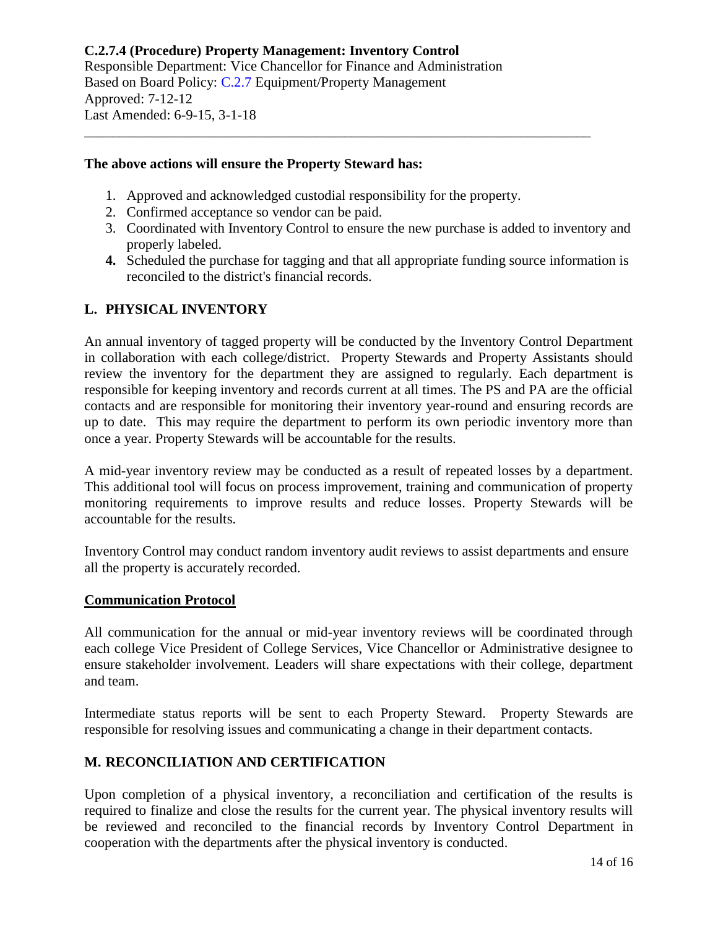## **The above actions will ensure the Property Steward has:**

1. Approved and acknowledged custodial responsibility for the property.

\_\_\_\_\_\_\_\_\_\_\_\_\_\_\_\_\_\_\_\_\_\_\_\_\_\_\_\_\_\_\_\_\_\_\_\_\_\_\_\_\_\_\_\_\_\_\_\_\_\_\_\_\_\_\_\_\_\_\_\_\_\_\_\_\_\_\_\_\_\_\_\_

- 2. Confirmed acceptance so vendor can be paid.
- 3. Coordinated with Inventory Control to ensure the new purchase is added to inventory and properly labeled.
- **4.** Scheduled the purchase for tagging and that all appropriate funding source information is reconciled to the district's financial records.

# **L. PHYSICAL INVENTORY**

An annual inventory of tagged property will be conducted by the Inventory Control Department in collaboration with each college/district. Property Stewards and Property Assistants should review the inventory for the department they are assigned to regularly. Each department is responsible for keeping inventory and records current at all times. The PS and PA are the official contacts and are responsible for monitoring their inventory year-round and ensuring records are up to date. This may require the department to perform its own periodic inventory more than once a year. Property Stewards will be accountable for the results.

A mid-year inventory review may be conducted as a result of repeated losses by a department. This additional tool will focus on process improvement, training and communication of property monitoring requirements to improve results and reduce losses. Property Stewards will be accountable for the results.

Inventory Control may conduct random inventory audit reviews to assist departments and ensure all the property is accurately recorded.

#### **Communication Protocol**

All communication for the annual or mid-year inventory reviews will be coordinated through each college Vice President of College Services, Vice Chancellor or Administrative designee to ensure stakeholder involvement. Leaders will share expectations with their college, department and team.

Intermediate status reports will be sent to each Property Steward. Property Stewards are responsible for resolving issues and communicating a change in their department contacts.

## **M. RECONCILIATION AND CERTIFICATION**

Upon completion of a physical inventory, a reconciliation and certification of the results is required to finalize and close the results for the current year. The physical inventory results will be reviewed and reconciled to the financial records by Inventory Control Department in cooperation with the departments after the physical inventory is conducted.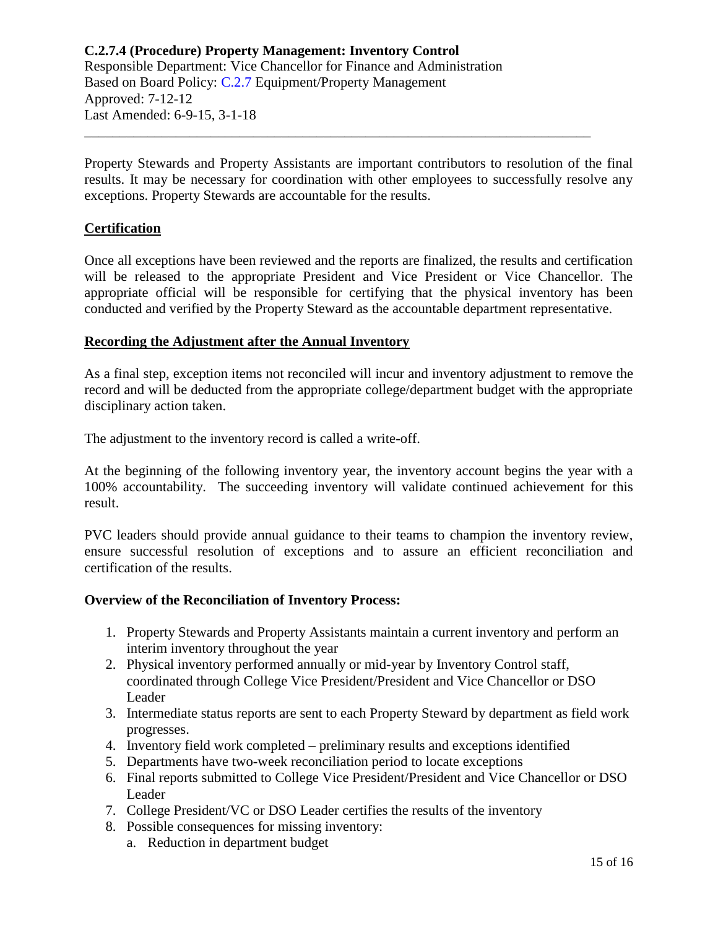Property Stewards and Property Assistants are important contributors to resolution of the final results. It may be necessary for coordination with other employees to successfully resolve any exceptions. Property Stewards are accountable for the results.

\_\_\_\_\_\_\_\_\_\_\_\_\_\_\_\_\_\_\_\_\_\_\_\_\_\_\_\_\_\_\_\_\_\_\_\_\_\_\_\_\_\_\_\_\_\_\_\_\_\_\_\_\_\_\_\_\_\_\_\_\_\_\_\_\_\_\_\_\_\_\_\_

## **Certification**

Once all exceptions have been reviewed and the reports are finalized, the results and certification will be released to the appropriate President and Vice President or Vice Chancellor. The appropriate official will be responsible for certifying that the physical inventory has been conducted and verified by the Property Steward as the accountable department representative.

#### **Recording the Adjustment after the Annual Inventory**

As a final step, exception items not reconciled will incur and inventory adjustment to remove the record and will be deducted from the appropriate college/department budget with the appropriate disciplinary action taken.

The adjustment to the inventory record is called a write-off.

At the beginning of the following inventory year, the inventory account begins the year with a 100% accountability. The succeeding inventory will validate continued achievement for this result.

PVC leaders should provide annual guidance to their teams to champion the inventory review, ensure successful resolution of exceptions and to assure an efficient reconciliation and certification of the results.

#### **Overview of the Reconciliation of Inventory Process:**

- 1. Property Stewards and Property Assistants maintain a current inventory and perform an interim inventory throughout the year
- 2. Physical inventory performed annually or mid-year by Inventory Control staff, coordinated through College Vice President/President and Vice Chancellor or DSO Leader
- 3. Intermediate status reports are sent to each Property Steward by department as field work progresses.
- 4. Inventory field work completed preliminary results and exceptions identified
- 5. Departments have two-week reconciliation period to locate exceptions
- 6. Final reports submitted to College Vice President/President and Vice Chancellor or DSO Leader
- 7. College President/VC or DSO Leader certifies the results of the inventory
- 8. Possible consequences for missing inventory:
	- a. Reduction in department budget